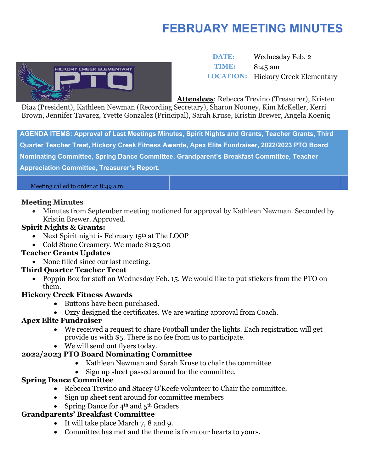# **FEBRUARY MEETING MINUTES**



 **DATE:** Wednesday Feb. 2 **TIME:** 8:45 am **LOCATION:** Hickory Creek Elementary

**Attendees**: Rebecca Trevino (Treasurer), Kristen

Diaz (President), Kathleen Newman (Recording Secretary), Sharon Nooney, Kim McKeller, Kerri Brown, Jennifer Tavarez, Yvette Gonzalez (Principal), Sarah Kruse, Kristin Brewer, Angela Koenig

**AGENDA ITEMS: Approval of Last Meetings Minutes, Spirit Nights and Grants, Teacher Grants, Third Quarter Teacher Treat, Hickory Creek Fitness Awards, Apex Elite Fundraiser, 2022/2023 PTO Board Nominating Committee, Spring Dance Committee, Grandparent's Breakfast Committee, Teacher Appreciation Committee, Treasurer's Report.**

Meeting called to order at 8:49 a.m.

#### **Meeting Minutes**

• Minutes from September meeting motioned for approval by Kathleen Newman. Seconded by Kristin Brewer. Approved.

#### **Spirit Nights & Grants:**

- Next Spirit night is February  $15<sup>th</sup>$  at The LOOP
- Cold Stone Creamery. We made \$125.00

#### **Teacher Grants Updates**

• None filled since our last meeting.

#### **Third Quarter Teacher Treat**

• Poppin Box for staff on Wednesday Feb. 15. We would like to put stickers from the PTO on them.

#### **Hickory Creek Fitness Awards**

- Buttons have been purchased.
- Ozzy designed the certificates. We are waiting approval from Coach.

## **Apex Elite Fundraiser**

- We received a request to share Football under the lights. Each registration will get provide us with \$5. There is no fee from us to participate.
- We will send out flyers today.

## **2022/2023 PTO Board Nominating Committee**

- Kathleen Newman and Sarah Kruse to chair the committee
- Sign up sheet passed around for the committee.

#### **Spring Dance Committee**

- Rebecca Trevino and Stacey O'Keefe volunteer to Chair the committee.
- Sign up sheet sent around for committee members
- Spring Dance for  $4^{\text{th}}$  and  $5^{\text{th}}$  Graders

## **Grandparents' Breakfast Committee**

- It will take place March 7, 8 and 9.
- Committee has met and the theme is from our hearts to yours.